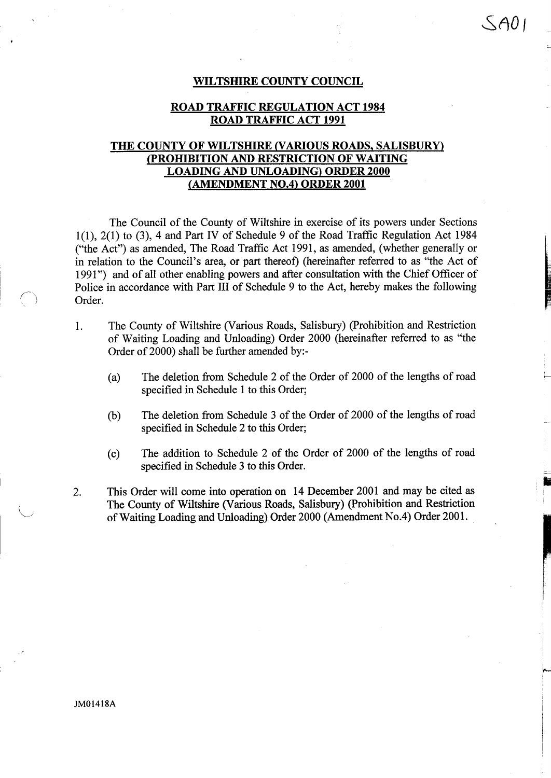#### WILTSHIRE COUNTY COUNCIL

 $SAOI$ 

### ROAD TRAFFIC REGULATION ACT <sup>1984</sup> ROAD TRAFFIC ACT <sup>1991</sup>

### THE COUNTY OF WILTSHIRE (VARIOUS ROADS, SALISBURY) (PROHIBITION AND RESTRICTION OF WAITING LOADING AND UNLOADING) ORDER <sup>2000</sup> (AMENDMENT NO.4) ORDER 2001

The Council of the County of Wiltshire in exercise of its powers under Sections 1(1), 2(1) to (3), 4 and Part IV of Schedule 9 of the Road Traffic Regulation Act 1984 ("the Act") as amended, The Road Traffic Act 1991, as amended, (whether generally or in relation to the Council's area, or part thereof) (hereinafter referred to as "the Act of 1991") and of all other enabling powers and after consultation with the Chief Officer of Police in accordance with Part III of Schedule 9 to the Act, hereby makes the following Order.

- <sup>1</sup> . The County of Wiltshire (Various Roads, Salisbury) (Prohibition and Restriction of Waiting Loading and Unloading) Order 2000 (hereinafter referred to as "the Order of 2000) shall be further amended by:-
	- (a) The deletion from Schedule 2 of the Order of 2000 of the lengths of road specified in Schedule <sup>1</sup> to this Order;
	- (b) The deletion from Schedule <sup>3</sup> of the Order of 2000 of the lengths of road specified in Schedule 2 to this Order;
	- (c) The addition to Schedule 2 of the Order of 2000 of the lengths of road specified in Schedule 3 to this Order.
- 2. This Order will come into operation on 14 December 2001 and may be cited as The County of Wiltshire (Various Roads, Salisbury) (Prohibition and Restriction of Waiting Loading and Unloading) Order 2000 (Amendment No.4) Order 2001 .

JM01418A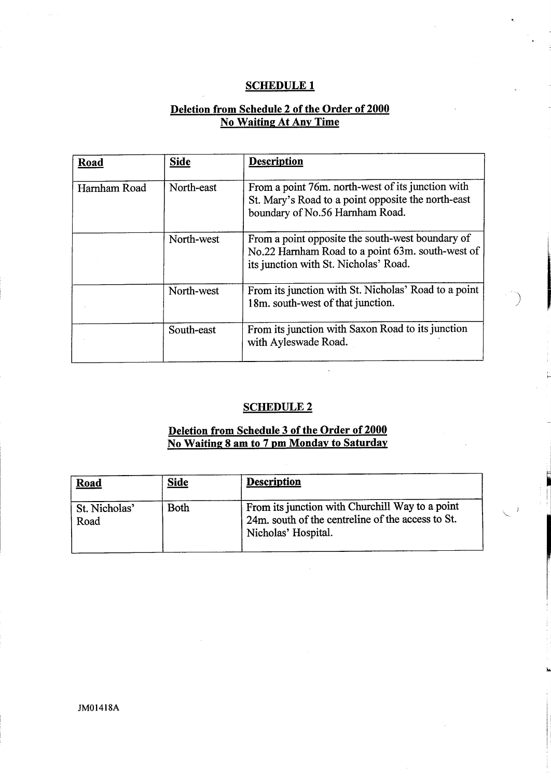## **SCHEDULE 1**

# Deletion from Schedule 2 of the Order of 2000 No Waiting At Any Time

| Road         | <b>Side</b> | <b>Description</b>                                                                                                                            |
|--------------|-------------|-----------------------------------------------------------------------------------------------------------------------------------------------|
| Harnham Road | North-east  | From a point 76m. north-west of its junction with<br>St. Mary's Road to a point opposite the north-east<br>boundary of No.56 Harnham Road.    |
|              | North-west  | From a point opposite the south-west boundary of<br>No.22 Harnham Road to a point 63m. south-west of<br>its junction with St. Nicholas' Road. |
|              | North-west  | From its junction with St. Nicholas' Road to a point<br>18m. south-west of that junction.                                                     |
|              | South-east  | From its junction with Saxon Road to its junction<br>with Ayleswade Road.                                                                     |

# SCHEDULE<sub>2</sub>

# Deletion from Schedule 3 of the Order of 2000 <u>No Waiting 8 am to 7 pm Monday to Saturday</u>

| Road                  | <u>Side</u> | <b>Description</b>                                                                                                          |
|-----------------------|-------------|-----------------------------------------------------------------------------------------------------------------------------|
| St. Nicholas'<br>Road | <b>Both</b> | From its junction with Churchill Way to a point<br>24m, south of the centreline of the access to St.<br>Nicholas' Hospital. |

JM01418A